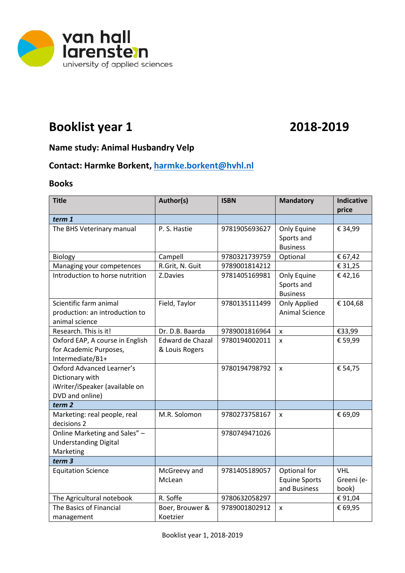

# **Booklist year 1 2018-2019**

### **Name study: Animal Husbandry Velp**

## **Contact: Harmke Borkent, [harmke.borkent@hvhl.nl](mailto:harmke.borkent@hvhl.nl)**

#### **Books**

| <b>Title</b>                                                                                             | Author(s)                          | <b>ISBN</b>   | <b>Mandatory</b>                                     | <b>Indicative</b><br>price        |
|----------------------------------------------------------------------------------------------------------|------------------------------------|---------------|------------------------------------------------------|-----------------------------------|
| term 1                                                                                                   |                                    |               |                                                      |                                   |
| The BHS Veterinary manual                                                                                | P. S. Hastie                       | 9781905693627 | Only Equine<br>Sports and<br><b>Business</b>         | € 34,99                           |
| Biology                                                                                                  | Campell                            | 9780321739759 | Optional                                             | € 67,42                           |
| Managing your competences                                                                                | R.Grit, N. Guit                    | 9789001814212 |                                                      | € 31,25                           |
| Introduction to horse nutrition                                                                          | Z.Davies                           | 9781405169981 | Only Equine<br>Sports and<br><b>Business</b>         | €42,16                            |
| Scientific farm animal<br>production: an introduction to<br>animal science                               | Field, Taylor                      | 9780135111499 | <b>Only Applied</b><br><b>Animal Science</b>         | € 104,68                          |
| Research. This is it!                                                                                    | Dr. D.B. Baarda                    | 9789001816964 | X                                                    | €33,99                            |
| Oxford EAP, A course in English<br>for Academic Purposes,<br>Intermediate/B1+                            | Edward de Chazal<br>& Louis Rogers | 9780194002011 | $\mathsf{x}$                                         | € 59,99                           |
| <b>Oxford Advanced Learner's</b><br>Dictionary with<br>iWriter/iSpeaker (available on<br>DVD and online) |                                    | 9780194798792 | $\mathsf{x}$                                         | € 54,75                           |
| term <sub>2</sub>                                                                                        |                                    |               |                                                      |                                   |
| Marketing: real people, real<br>decisions 2                                                              | M.R. Solomon                       | 9780273758167 | X                                                    | € 69,09                           |
| Online Marketing and Sales" -<br><b>Understanding Digital</b><br>Marketing                               |                                    | 9780749471026 |                                                      |                                   |
| term <sub>3</sub>                                                                                        |                                    |               |                                                      |                                   |
| <b>Equitation Science</b>                                                                                | McGreevy and<br>McLean             | 9781405189057 | Optional for<br><b>Equine Sports</b><br>and Business | <b>VHL</b><br>Greeni (e-<br>book) |
| The Agricultural notebook                                                                                | R. Soffe                           | 9780632058297 |                                                      | €91,04                            |
| The Basics of Financial<br>management                                                                    | Boer, Brouwer &<br>Koetzier        | 9789001802912 | X                                                    | € 69,95                           |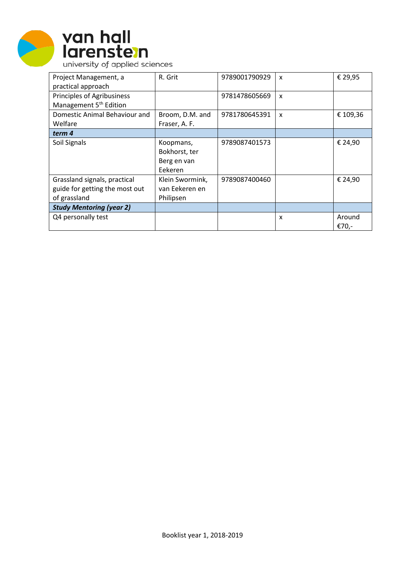



| Project Management, a              | R. Grit         | 9789001790929 | $\boldsymbol{\mathsf{x}}$ | € 29,95  |
|------------------------------------|-----------------|---------------|---------------------------|----------|
| practical approach                 |                 |               |                           |          |
| <b>Principles of Agribusiness</b>  |                 | 9781478605669 | $\boldsymbol{\mathsf{x}}$ |          |
| Management 5 <sup>th</sup> Edition |                 |               |                           |          |
| Domestic Animal Behaviour and      | Broom, D.M. and | 9781780645391 | $\boldsymbol{\mathsf{x}}$ | € 109,36 |
| Welfare                            | Fraser, A. F.   |               |                           |          |
| term 4                             |                 |               |                           |          |
| Soil Signals                       | Koopmans,       | 9789087401573 |                           | € 24,90  |
|                                    | Bokhorst, ter   |               |                           |          |
|                                    | Berg en van     |               |                           |          |
|                                    | Eekeren         |               |                           |          |
| Grassland signals, practical       | Klein Swormink, | 9789087400460 |                           | € 24,90  |
| guide for getting the most out     | van Eekeren en  |               |                           |          |
| of grassland                       | Philipsen       |               |                           |          |
| <b>Study Mentoring (year 2)</b>    |                 |               |                           |          |
| Q4 personally test                 |                 |               | X                         | Around   |
|                                    |                 |               |                           | €70,-    |